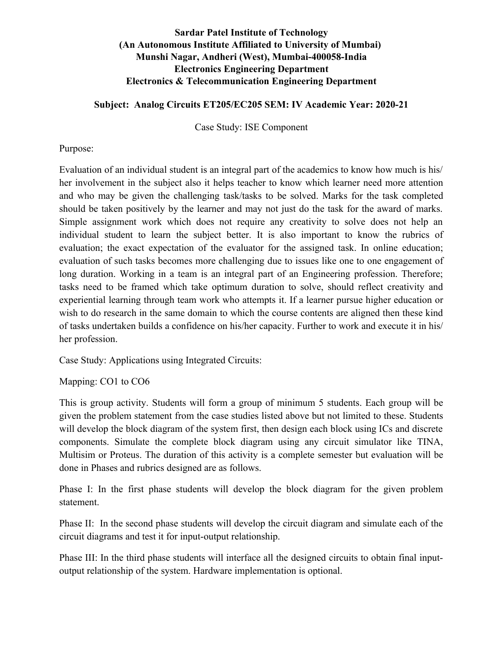# **Sardar Patel Institute of Technology (An Autonomous Institute Affiliated to University of Mumbai) Munshi Nagar, Andheri (West), Mumbai-400058-India Electronics Engineering Department Electronics & Telecommunication Engineering Department**

## **Subject: Analog Circuits ET205/EC205 SEM: IV Academic Year: 2020-21**

Case Study: ISE Component

## Purpose:

Evaluation of an individual student is an integral part of the academics to know how much is his/ her involvement in the subject also it helps teacher to know which learner need more attention and who may be given the challenging task/tasks to be solved. Marks for the task completed should be taken positively by the learner and may not just do the task for the award of marks. Simple assignment work which does not require any creativity to solve does not help an individual student to learn the subject better. It is also important to know the rubrics of evaluation; the exact expectation of the evaluator for the assigned task. In online education; evaluation of such tasks becomes more challenging due to issues like one to one engagement of long duration. Working in a team is an integral part of an Engineering profession. Therefore; tasks need to be framed which take optimum duration to solve, should reflect creativity and experiential learning through team work who attempts it. If a learner pursue higher education or wish to do research in the same domain to which the course contents are aligned then these kind of tasks undertaken builds a confidence on his/her capacity. Further to work and execute it in his/ her profession.

Case Study: Applications using Integrated Circuits:

Mapping: CO1 to CO6

This is group activity. Students will form a group of minimum 5 students. Each group will be given the problem statement from the case studies listed above but not limited to these. Students will develop the block diagram of the system first, then design each block using ICs and discrete components. Simulate the complete block diagram using any circuit simulator like TINA, Multisim or Proteus. The duration of this activity is a complete semester but evaluation will be done in Phases and rubrics designed are as follows.

Phase I: In the first phase students will develop the block diagram for the given problem statement.

Phase II: In the second phase students will develop the circuit diagram and simulate each of the circuit diagrams and test it for input-output relationship.

Phase III: In the third phase students will interface all the designed circuits to obtain final inputoutput relationship of the system. Hardware implementation is optional.